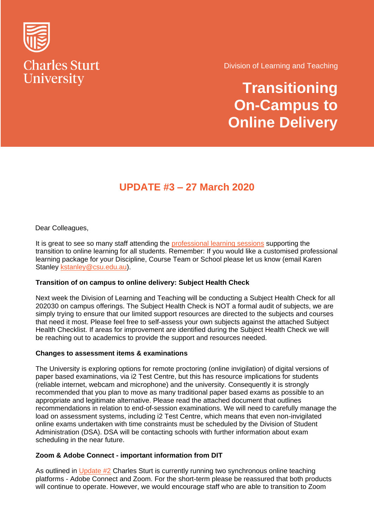

Division of Learning and Teaching

**Transitioning On-Campus to Online Delivery**

## **UPDATE #3 – 27 March 2020**

Dear Colleagues,

It is great to see so many staff attending the [professional learning sessions](https://www.smore.com/w6zr2-professional-learning) supporting the transition to online learning for all students. Remember: If you would like a customised professional learning package for your Discipline, Course Team or School please let us know (email Karen Stanley [kstanley@csu.edu.au\)](mailto:kstanley@csu.edu.au).

## **Transition of on campus to online delivery: Subject Health Check**

Next week the Division of Learning and Teaching will be conducting a Subject Health Check for all 202030 on campus offerings. The Subject Health Check is NOT a formal audit of subjects, we are simply trying to ensure that our limited support resources are directed to the subjects and courses that need it most. Please feel free to self-assess your own subjects against the attached Subject Health Checklist. If areas for improvement are identified during the Subject Health Check we will be reaching out to academics to provide the support and resources needed.

## **Changes to assessment items & examinations**

The University is exploring options for remote proctoring (online invigilation) of digital versions of paper based examinations, via i2 Test Centre, but this has resource implications for students (reliable internet, webcam and microphone) and the university. Consequently it is strongly recommended that you plan to move as many traditional paper based exams as possible to an appropriate and legitimate alternative. Please read the attached document that outlines recommendations in relation to end-of-session examinations. We will need to carefully manage the load on assessment systems, including i2 Test Centre, which means that even non-invigilated online exams undertaken with time constraints must be scheduled by the Division of Student Administration (DSA). DSA will be contacting schools with further information about exam scheduling in the near future.

## **Zoom & Adobe Connect - important information from DIT**

As outlined in [Update #2](https://cdn.csu.edu.au/__data/assets/pdf_file/0005/3392303/Transitioning-to-online-delivery-Update2.pdf) Charles Sturt is currently running two synchronous online teaching platforms - Adobe Connect and Zoom. For the short-term please be reassured that both products will continue to operate. However, we would encourage staff who are able to transition to Zoom